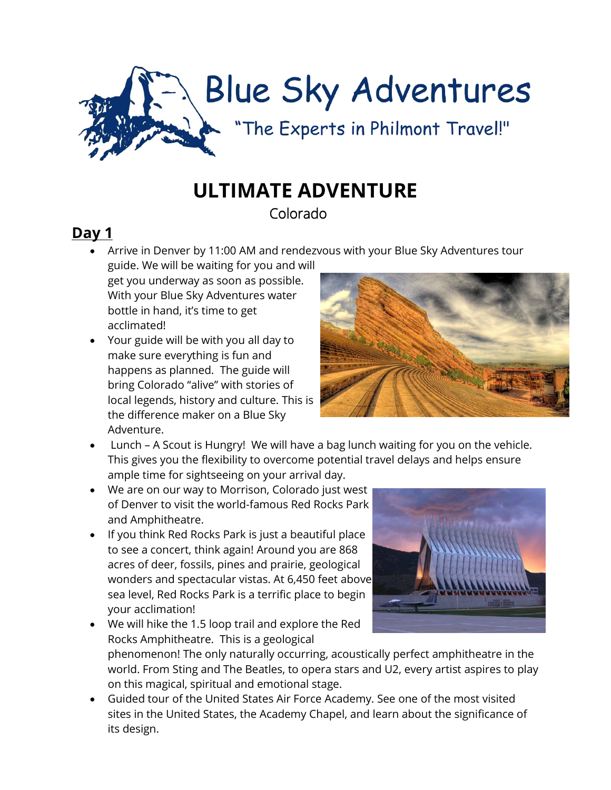

# **ULTIMATE ADVENTURE**

Colorado

## **Day 1**

• Arrive in Denver by 11:00 AM and rendezvous with your Blue Sky Adventures tour

guide. We will be waiting for you and will get you underway as soon as possible. With your Blue Sky Adventures water bottle in hand, it's time to get acclimated!

• Your guide will be with you all day to make sure everything is fun and happens as planned. The guide will bring Colorado "alive" with stories of local legends, history and culture. This is the difference maker on a Blue Sky Adventure.



- Lunch A Scout is Hungry! We will have a bag lunch waiting for you on the vehicle. This gives you the flexibility to overcome potential travel delays and helps ensure ample time for sightseeing on your arrival day.
- We are on our way to Morrison, Colorado just west of Denver to visit the world-famous Red Rocks Park and Amphitheatre.
- If you think Red Rocks Park is just a beautiful place to see a concert, think again! Around you are 868 acres of deer, fossils, pines and prairie, geological wonders and spectacular vistas. At 6,450 feet above sea level, Red Rocks Park is a terrific place to begin your acclimation!



• We will hike the 1.5 loop trail and explore the Red Rocks Amphitheatre. This is a geological phenomenon! The only naturally occurring, acoustically perfect amphitheatre in the world. From Sting and The Beatles, to opera stars and U2, every artist aspires to play on this magical, spiritual and emotional stage.

• Guided tour of the United States Air Force Academy. See one of the most visited sites in the United States, the Academy Chapel, and learn about the significance of its design.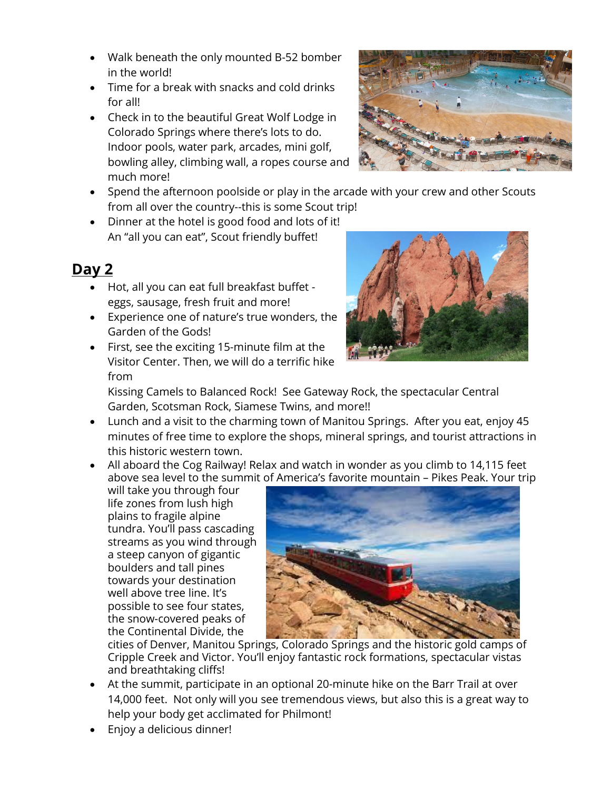- Walk beneath the only mounted B-52 bomber in the world!
- Time for a break with snacks and cold drinks for all!
- Check in to the beautiful Great Wolf Lodge in Colorado Springs where there's lots to do. Indoor pools, water park, arcades, mini golf, bowling alley, climbing wall, a ropes course and much more!
- Spend the afternoon poolside or play in the arcade with your crew and other Scouts from all over the country--this is some Scout trip!
- Dinner at the hotel is good food and lots of it! An "all you can eat", Scout friendly buffet!

#### **Day 2**

- Hot, all you can eat full breakfast buffet eggs, sausage, fresh fruit and more!
- Experience one of nature's true wonders, the Garden of the Gods!
- First, see the exciting 15-minute film at the Visitor Center. Then, we will do a terrific hike from



Kissing Camels to Balanced Rock! See Gateway Rock, the spectacular Central Garden, Scotsman Rock, Siamese Twins, and more!!

- Lunch and a visit to the charming town of Manitou Springs. After you eat, enjoy 45 minutes of free time to explore the shops, mineral springs, and tourist attractions in this historic western town.
- All aboard the Cog Railway! Relax and watch in wonder as you climb to 14,115 feet above sea level to the summit of America's favorite mountain – Pikes Peak. Your trip

will take you through four life zones from lush high plains to fragile alpine tundra. You'll pass cascading streams as you wind through a steep canyon of gigantic boulders and tall pines towards your destination well above tree line. It's possible to see four states, the snow-covered peaks of the Continental Divide, the



cities of Denver, Manitou Springs, Colorado Springs and the historic gold camps of Cripple Creek and Victor. You'll enjoy fantastic rock formations, spectacular vistas and breathtaking cliffs!

- At the summit, participate in an optional 20-minute hike on the Barr Trail at over 14,000 feet. Not only will you see tremendous views, but also this is a great way to help your body get acclimated for Philmont!
- Enjoy a delicious dinner!

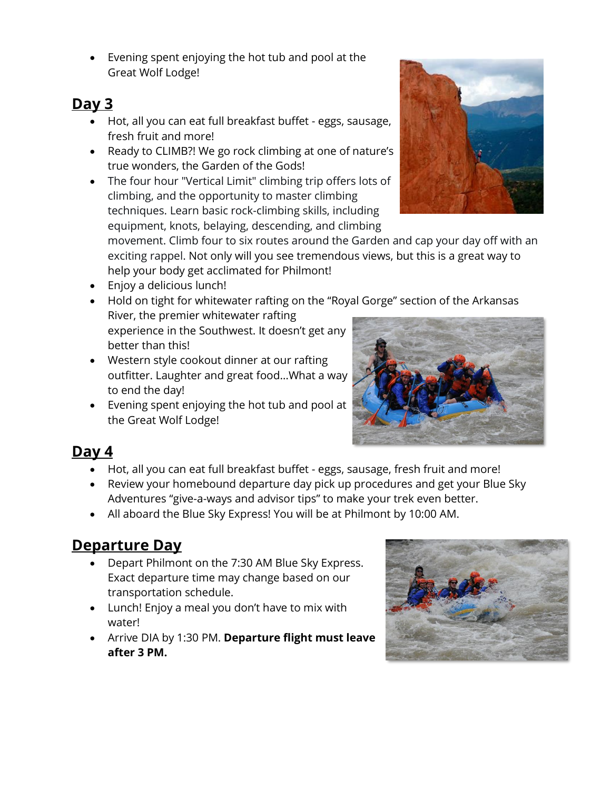• Evening spent enjoying the hot tub and pool at the Great Wolf Lodge!

### **Day 3**

- Hot, all you can eat full breakfast buffet eggs, sausage, fresh fruit and more!
- Ready to CLIMB?! We go rock climbing at one of nature's true wonders, the Garden of the Gods!
- The four hour "Vertical Limit" climbing trip offers lots of climbing, and the opportunity to master climbing techniques. Learn basic rock-climbing skills, including equipment, knots, belaying, descending, and climbing

movement. Climb four to six routes around the Garden and cap your day off with an exciting rappel. Not only will you see tremendous views, but this is a great way to help your body get acclimated for Philmont!

- Enjoy a delicious lunch!
- Hold on tight for whitewater rafting on the "Royal Gorge" section of the Arkansas River, the premier whitewater rafting experience in the Southwest. It doesn't get any better than this!
- Western style cookout dinner at our rafting outfitter. Laughter and great food…What a way to end the day!
- Evening spent enjoying the hot tub and pool at the Great Wolf Lodge!



## **Day 4**

- Hot, all you can eat full breakfast buffet eggs, sausage, fresh fruit and more!
- Review your homebound departure day pick up procedures and get your Blue Sky Adventures "give-a-ways and advisor tips" to make your trek even better.
- All aboard the Blue Sky Express! You will be at Philmont by 10:00 AM.

## **Departure Day**

- Depart Philmont on the 7:30 AM Blue Sky Express. Exact departure time may change based on our transportation schedule.
- Lunch! Enjoy a meal you don't have to mix with water!
- Arrive DIA by 1:30 PM. **Departure flight must leave after 3 PM.**